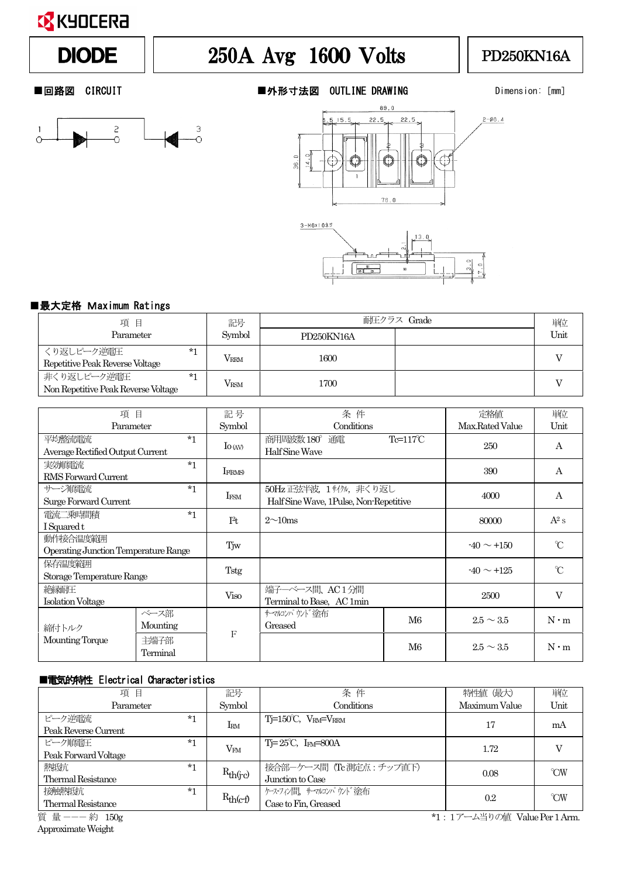### **EX** KYOCERA

# DIODE  $||$  250A Avg 1600 Volts  $||$  PD250KN16A



■回路図 CIRCUIT ■外形寸法図 OUTLINE DRAWING Dimension: [mm]







### ■最大定格 Maximum Ratings

| 項目                                                         | 記号            | 耐圧クラス Grade |  | 単位   |
|------------------------------------------------------------|---------------|-------------|--|------|
| Parameter                                                  | Symbol        | PD250KN16A  |  | Unit |
| くり返しピーク逆雷圧<br>$*1$<br>Repetitive Peak Reverse Voltage      | $V_{\rm RRM}$ | 1600        |  |      |
| 非くり返しピーク逆電圧<br>$*1$<br>Non Repetitive Peak Reverse Voltage | <b>VRSM</b>   | 1700        |  |      |

| 項                                                | 目                | 記号               | 条件                                                              |                  | 定格値             | 単位          |
|--------------------------------------------------|------------------|------------------|-----------------------------------------------------------------|------------------|-----------------|-------------|
| Parameter                                        |                  | Symbol           | Conditions                                                      |                  | Max.Rated Value | Unit        |
| 平均整流電流<br>Average Rectified Output Current       | $*1$             | $\rm{Io}$ (AV)   | 商用周波数 180° 通電<br>Half Sine Wave                                 | $Te=117^\circ C$ | 250             | A           |
| 実効順電流<br>RMS Forward Current                     | $*1$             | <b>IFORMS</b>    |                                                                 |                  | 390             | A           |
| サージ順雷流<br>Surge Forward Current                  | $*1$             | IFSM             | 50Hz 正弦半波,1サイクル,非くり返し<br>Half Sine Wave, 1Pulse, Non-Repetitive |                  | 4000            | A           |
| 雷流二乗時間積<br>I Squared t                           | $*1$             | T <sup>2</sup> t | $2\sim10ms$                                                     |                  | 80000           | $A^2 s$     |
| 動作接合温度範囲<br>Operating Junction Temperature Range |                  | Tjw              |                                                                 |                  | $-40 \sim +150$ | $\infty$    |
| 保存温度範囲<br>Storage Temperature Range              |                  | <b>Tstg</b>      |                                                                 |                  | $-40 \sim +125$ | $\infty$    |
| 絶縁耐圧<br>Isolation Voltage                        |                  | Viso             | 端子ーベース間、 AC 1 分間<br>Terminal to Base, AC 1min                   |                  | 2500            | V           |
| 締付トルク                                            | ベース部<br>Mounting | $\mathbf{F}$     | サマルソパ ウゾ 途布<br>Greased                                          | M <sub>6</sub>   | $2.5 \sim 3.5$  | $N \cdot m$ |
| Mounting Torque                                  | 主端子部<br>Terminal |                  |                                                                 | M6               | $2.5 \sim 3.5$  | $N \cdot m$ |

### ■電気的特性 Electrical Characteristics

| 項目                                         | 記号            | 条件                                                | 特性値 (最大)                     | 単位                               |
|--------------------------------------------|---------------|---------------------------------------------------|------------------------------|----------------------------------|
| Parameter                                  | Symbol        | Conditions                                        | Maximum Value                | Unit                             |
| ピーク逆電流<br>$*1$<br>Peak Reverse Current     | IRM           | $T=150^{\circ}C$ , $V_{\text{RM}}=V_{\text{RRM}}$ | 17                           | mA                               |
| ピーク順雷圧<br>$*1$<br>Peak Forward Voltage     | $V_{FM}$      | $T = 25^{\circ}C$ , I <sub>FM</sub> =800A         | 1.72                         |                                  |
| 熱抵抗<br>$*1$<br><b>Thermal Resistance</b>   | $R_{th(j-c)}$ | 接合部ーケース間 (Tc 測定点:チップ直下)<br>Junction to Case       | 0.08                         | $\gamma$ <sup>o</sup> $\gamma$ W |
| 接触熱抵抗<br>$*1$<br><b>Thermal Resistance</b> | $R_{th(c-f)}$ | ケス・フィン間、サマルコンパウソド塗布<br>Case to Fin, Greased       | 0.2                          | $\gamma$ <sup>o</sup> $\gamma$ W |
| 質量---約 150g                                |               |                                                   | *1:1アーム当りの値 Value Per 1 Arm. |                                  |

ApproximateWeight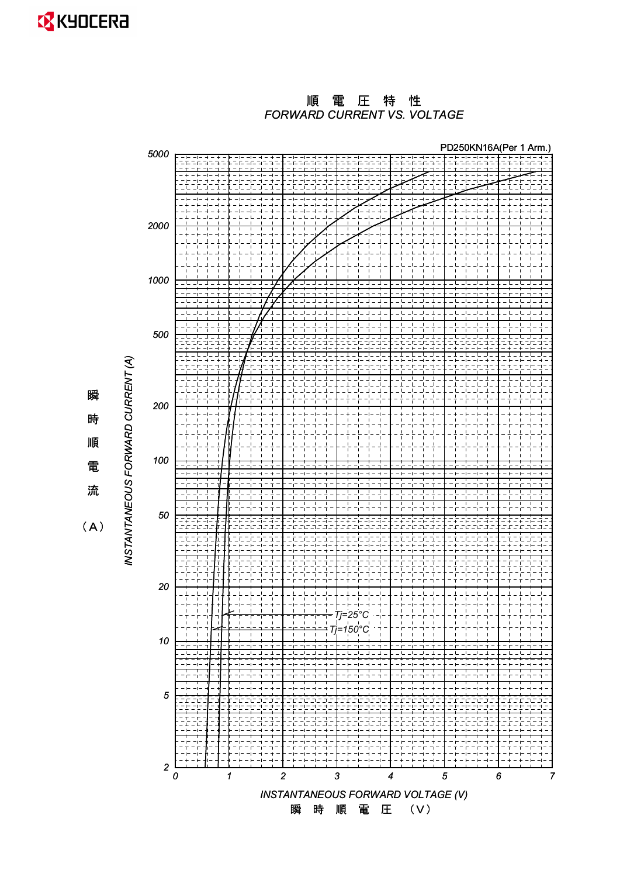

*FORWARD CURRENT VS. VOLTAGE* 順 電 圧 特 性



瞬 時 順 電 ὶ

 $(A)$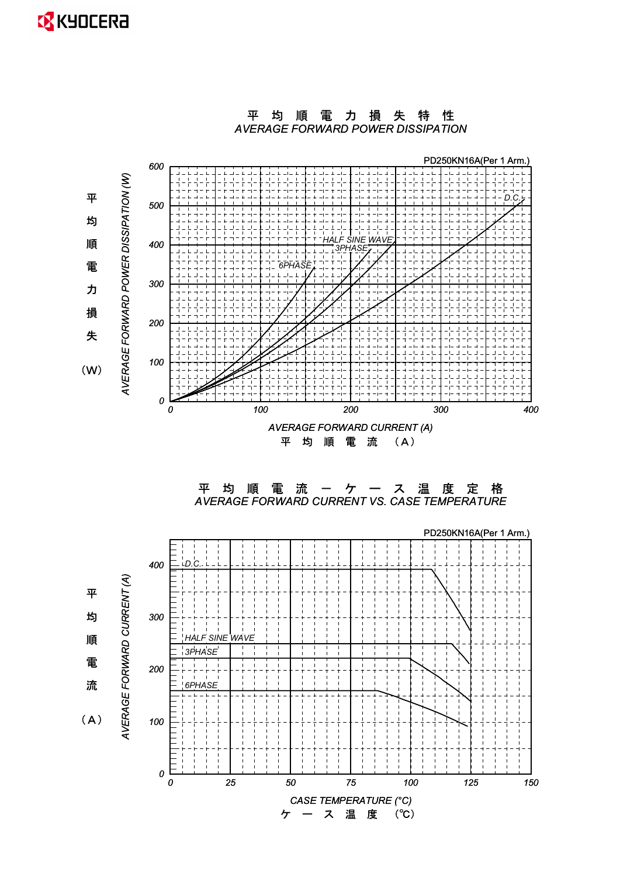## **EX** KYOCERA



平均順電力損失特性

*0 25 50 75 100 125 150*

*0*

*CASE TEMPERATURE (°C)* 㸦Υ㸧ࠉᗘࠉ ࠉࢫࠉ࣮ࠉࢣ